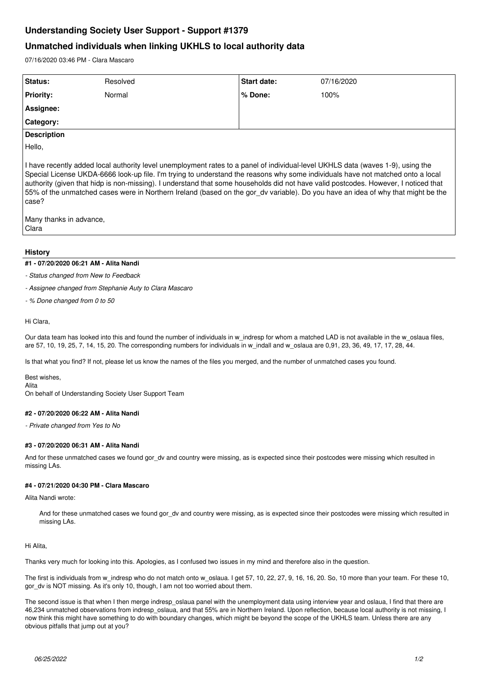# **Understanding Society User Support - Support #1379**

## **Unmatched individuals when linking UKHLS to local authority data**

07/16/2020 03:46 PM - Clara Mascaro

| Status:            | Resolved | <b>Start date:</b> | 07/16/2020 |
|--------------------|----------|--------------------|------------|
| <b>Priority:</b>   | Normal   | % Done:            | 100%       |
| Assignee:          |          |                    |            |
| Category:          |          |                    |            |
| <b>Description</b> |          |                    |            |
| Hello,             |          |                    |            |

I have recently added local authority level unemployment rates to a panel of individual-level UKHLS data (waves 1-9), using the Special License UKDA-6666 look-up file. I'm trying to understand the reasons why some individuals have not matched onto a local authority (given that hidp is non-missing). I understand that some households did not have valid postcodes. However, I noticed that 55% of the unmatched cases were in Northern Ireland (based on the gor\_dv variable). Do you have an idea of why that might be the case?

Many thanks in advance, Clara

### **History**

#### **#1 - 07/20/2020 06:21 AM - Alita Nandi**

- *Status changed from New to Feedback*
- *Assignee changed from Stephanie Auty to Clara Mascaro*
- *% Done changed from 0 to 50*

#### Hi Clara,

Our data team has looked into this and found the number of individuals in w\_indresp for whom a matched LAD is not available in the w\_oslaua files, are 57, 10, 19, 25, 7, 14, 15, 20. The corresponding numbers for individuals in w\_indall and w\_oslaua are 0,91, 23, 36, 49, 17, 17, 28, 44.

Is that what you find? If not, please let us know the names of the files you merged, and the number of unmatched cases you found.

Best wishes, Alita On behalf of Understanding Society User Support Team

#### **#2 - 07/20/2020 06:22 AM - Alita Nandi**

*- Private changed from Yes to No*

#### **#3 - 07/20/2020 06:31 AM - Alita Nandi**

And for these unmatched cases we found gor dv and country were missing, as is expected since their postcodes were missing which resulted in missing LAs.

#### **#4 - 07/21/2020 04:30 PM - Clara Mascaro**

Alita Nandi wrote:

And for these unmatched cases we found gor\_dv and country were missing, as is expected since their postcodes were missing which resulted in missing LAs.

#### Hi Alita,

Thanks very much for looking into this. Apologies, as I confused two issues in my mind and therefore also in the question.

The first is individuals from w\_indresp who do not match onto w\_oslaua. I get 57, 10, 22, 27, 9, 16, 16, 20. So, 10 more than your team. For these 10, gor dv is NOT missing. As it's only 10, though, I am not too worried about them.

The second issue is that when I then merge indresp\_oslaua panel with the unemployment data using interview year and oslaua, I find that there are 46,234 unmatched observations from indresp\_oslaua, and that 55% are in Northern Ireland. Upon reflection, because local authority is not missing, I now think this might have something to do with boundary changes, which might be beyond the scope of the UKHLS team. Unless there are any obvious pitfalls that jump out at you?